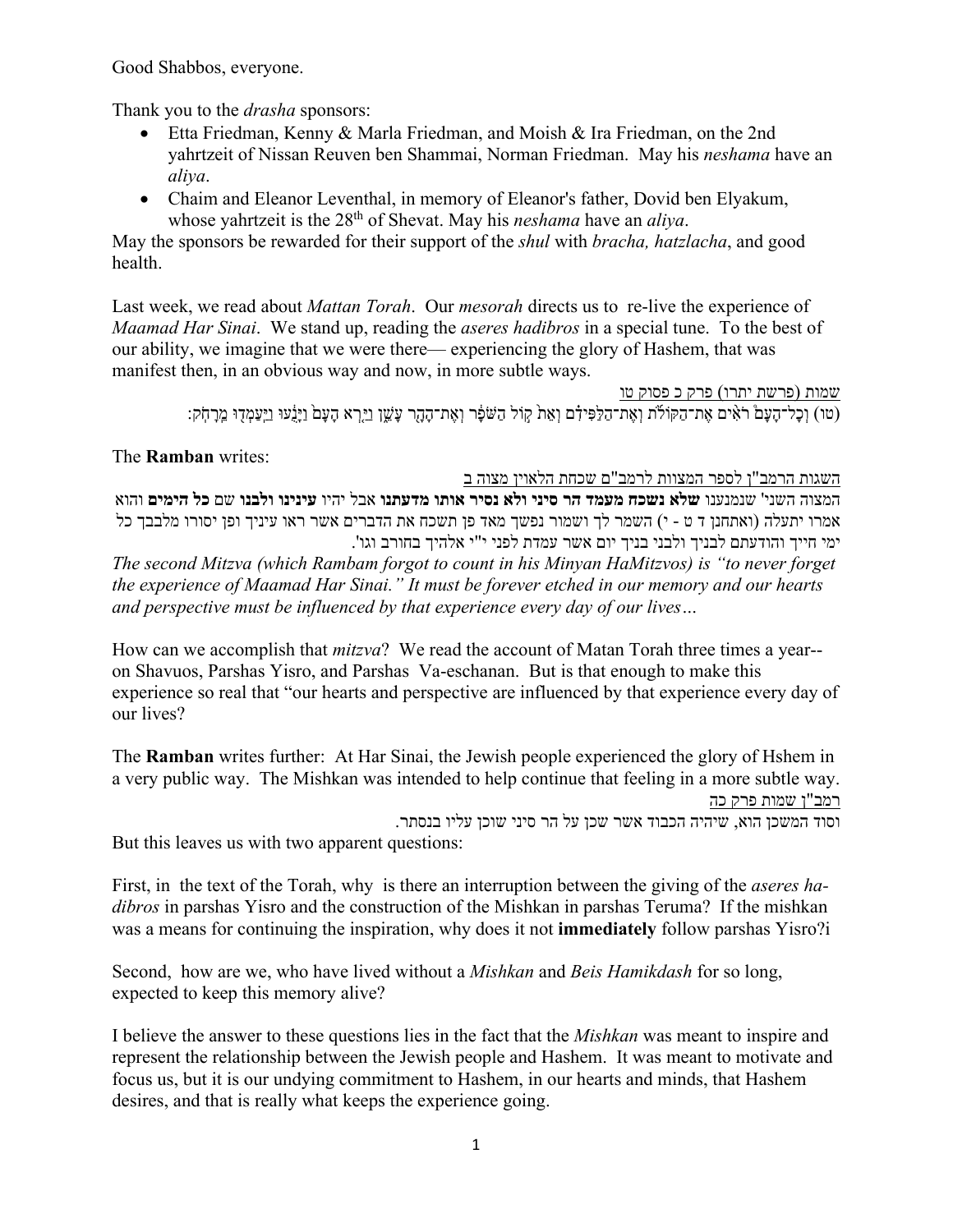Good Shabbos, everyone.

Thank you to the *drasha* sponsors:

- Etta Friedman, Kenny & Marla Friedman, and Moish & Ira Friedman, on the 2nd yahrtzeit of Nissan Reuven ben Shammai, Norman Friedman. May his *neshama* have an *aliya*.
- Chaim and Eleanor Leventhal, in memory of Eleanor's father, Dovid ben Elyakum, whose yahrtzeit is the 28<sup>th</sup> of Shevat. May his *neshama* have an *aliya*.

May the sponsors be rewarded for their support of the *shul* with *bracha, hatzlacha*, and good health.

Last week, we read about *Mattan Torah*. Our *mesorah* directs us to re-live the experience of *Maamad Har Sinai*. We stand up, reading the *aseres hadibros* in a special tune. To the best of our ability, we imagine that we were there— experiencing the glory of Hashem, that was manifest then, in an obvious way and now, in more subtle ways.

> שמות (פרשת יתרו) פרק כ פסוק טו ּוֹ הָעָם הָעָם הַעֲעוֹ הַעֲמָדָוּ מֵרָהָק: "מַל־הָעָם הַאֲת־הַלֹּת וְאֵת־הַלֹּה וְאֶת־הָהָר עָשֵׁן וַיַּרָא הָעָם וַיָּנַעוּ וַיִּעַמְדִוּ מֵרָהִק:

## The **Ramban** writes:

השגות הרמב"ן לספר המצוות לרמב"ם שכחת הלאוין מצוה ב המצוה השני' שנמנענו **שלא נשכח מעמד הר סיני ולא נסיר אותו מדעתנו** אבל יהיו **עינינו ולבנו** שם **כל הימים** והוא אמרו יתעלה (ואתחנן ד ט - י) השמר לך ושמור נפשך מאד פן תשכח את הדברים אשר ראו עיניך ופן יסורו מלבבך כל ימי חייך והודעתם לבניך ולבני בניך יום אשר עמדת לפני י"י אלהיך בחורב וגו'.

*The second Mitzva (which Rambam forgot to count in his Minyan HaMitzvos) is "to never forget the experience of Maamad Har Sinai." It must be forever etched in our memory and our hearts and perspective must be influenced by that experience every day of our lives…*

How can we accomplish that *mitzva*? We read the account of Matan Torah three times a year- on Shavuos, Parshas Yisro, and Parshas Va-eschanan. But is that enough to make this experience so real that "our hearts and perspective are influenced by that experience every day of our lives?

The **Ramban** writes further: At Har Sinai, the Jewish people experienced the glory of Hshem in a very public way. The Mishkan was intended to help continue that feeling in a more subtle way. רמב"ן שמות פרק כה

וסוד המשכן הוא, שיהיה הכבוד אשר שכן על הר סיני שוכן עליו בנסתר.

But this leaves us with two apparent questions:

First, in the text of the Torah, why is there an interruption between the giving of the *aseres hadibros* in parshas Yisro and the construction of the Mishkan in parshas Teruma? If the mishkan was a means for continuing the inspiration, why does it not **immediately** follow parshas Yisro?i

Second, how are we, who have lived without a *Mishkan* and *Beis Hamikdash* for so long, expected to keep this memory alive?

I believe the answer to these questions lies in the fact that the *Mishkan* was meant to inspire and represent the relationship between the Jewish people and Hashem. It was meant to motivate and focus us, but it is our undying commitment to Hashem, in our hearts and minds, that Hashem desires, and that is really what keeps the experience going.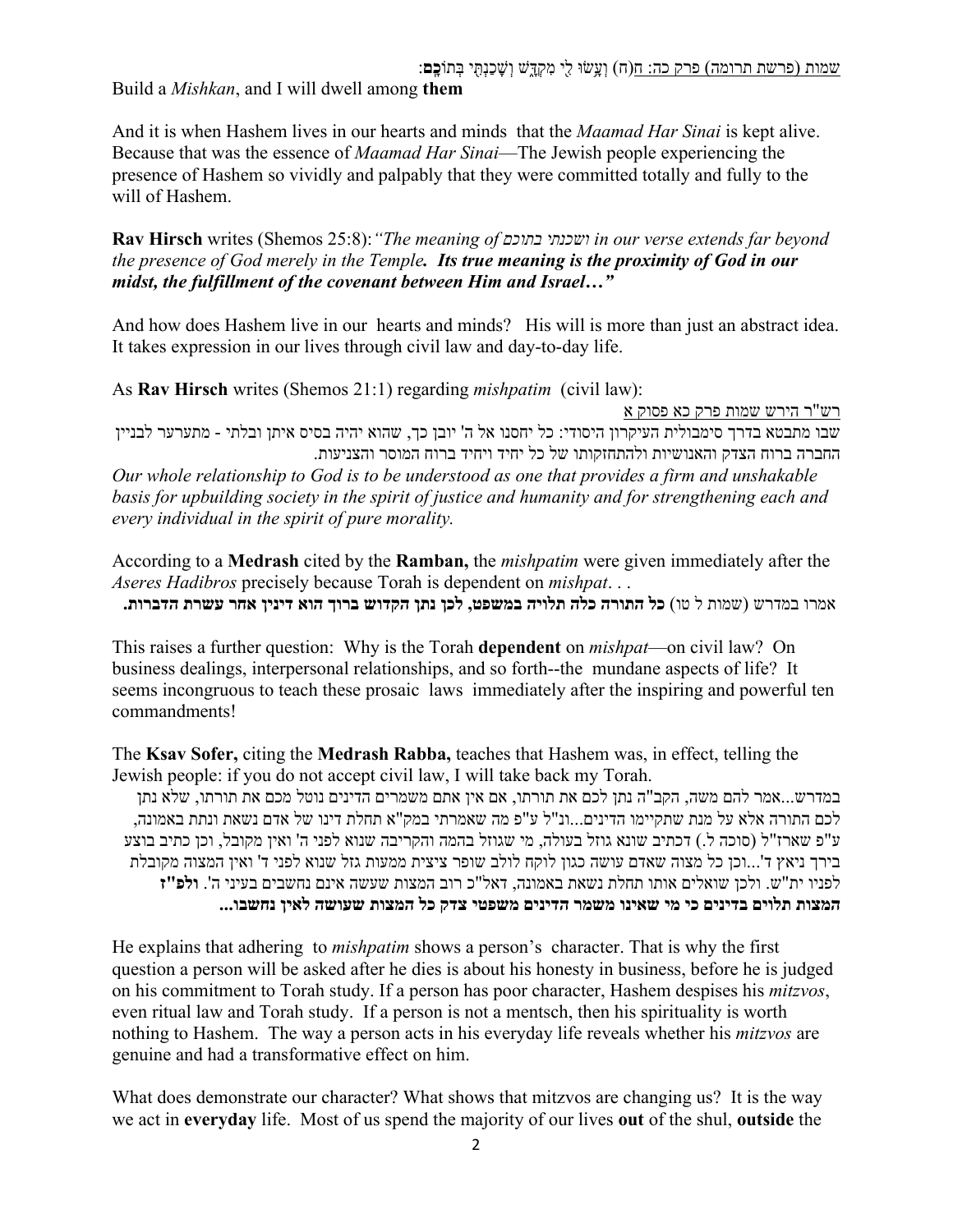Build a *Mishkan*, and I will dwell among **them**

And it is when Hashem lives in our hearts and minds that the *Maamad Har Sinai* is kept alive. Because that was the essence of *Maamad Har Sinai*—The Jewish people experiencing the presence of Hashem so vividly and palpably that they were committed totally and fully to the will of Hashem.

**Rav Hirsch** writes (Shemos 25:8):*"The meaning of בתוכם ושכנתי in our verse extends far beyond the presence of God merely in the Temple. Its true meaning is the proximity of God in our midst, the fulfillment of the covenant between Him and Israel…"*

And how does Hashem live in our hearts and minds? His will is more than just an abstract idea. It takes expression in our lives through civil law and day-to-day life.

As **Rav Hirsch** writes (Shemos 21:1) regarding *mishpatim* (civil law):

רש"ר הירש שמות פרק כא פסוק א

שבו מתבטא בדרך סימבולית העיקרון היסודי: כל יחסנו אל ה' יובן כך, שהוא יהיה בסיס איתן ובלתי - מתערער לבניין החברה ברוח הצדק והאנושיות ולהתחזקותו של כל יחיד ויחיד ברוח המוסר והצניעות.

*Our whole relationship to God is to be understood as one that provides a firm and unshakable basis for upbuilding society in the spirit of justice and humanity and for strengthening each and every individual in the spirit of pure morality.*

According to a **Medrash** cited by the **Ramban,** the *mishpatim* were given immediately after the *Aseres Hadibros* precisely because Torah is dependent on *mishpat*. . . אמרו במדרש (שמות ל טו) **כל התורה כלה תלויה במשפט, לכן נתן הקדוש ברוך הוא דינין אחר עשרת הדברות.**

This raises a further question: Why is the Torah **dependent** on *mishpat*—on civil law? On business dealings, interpersonal relationships, and so forth--the mundane aspects of life? It seems incongruous to teach these prosaic laws immediately after the inspiring and powerful ten commandments!

The **Ksav Sofer,** citing the **Medrash Rabba,** teaches that Hashem was, in effect, telling the Jewish people: if you do not accept civil law, I will take back my Torah.

במדרש...אמר להם משה, הקב"ה נתן לכם את תורתו, אם אין אתם משמרים הדינים נוטל מכם את תורתו, שלא נתן לכם התורה אלא על מנת שתקיימו הדינים...ונ"ל ע"פ מה שאמרתי במק"א תחלת דינו של אדם נשאת ונתת באמונה, ע"פ שארז"ל (סוכה ל.) דכתיב שונא גוזל בעולה, מי שגוזל בהמה והקריבה שנוא לפני ה' ואין מקובל, וכן כתיב בוצע בירך ניאץ ד'...וכן כל מצוה שאדם עושה כגון לוקח לולב שופר ציצית ממעות גזל שנוא לפני ד' ואין המצוה מקובלת לפניו ית"ש. ולכן שואלים אותו תחלת נשאת באמונה, דאל"כ רוב המצות שעשה אינם נחשבים בעיני ה'. **ולפ"ז המצות תלוים בדינים כי מי שאינו משמר הדינים משפטי צדק כל המצות שעושה לאין נחשבו...** 

He explains that adhering to *mishpatim* shows a person's character. That is why the first question a person will be asked after he dies is about his honesty in business, before he is judged on his commitment to Torah study. If a person has poor character, Hashem despises his *mitzvos*, even ritual law and Torah study. If a person is not a mentsch, then his spirituality is worth nothing to Hashem. The way a person acts in his everyday life reveals whether his *mitzvos* are genuine and had a transformative effect on him.

What does demonstrate our character? What shows that mitzvos are changing us? It is the way we act in **everyday** life. Most of us spend the majority of our lives **out** of the shul, **outside** the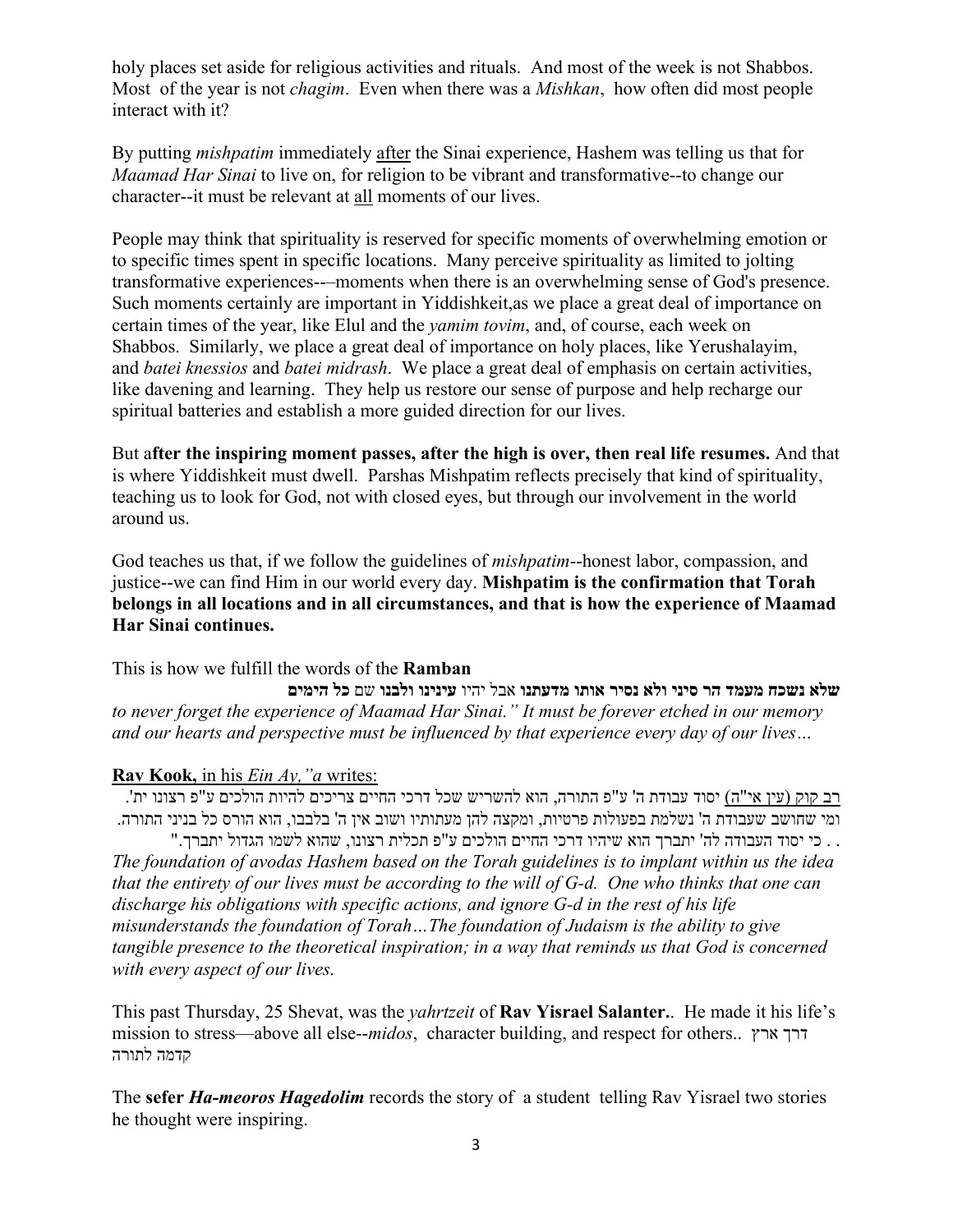holy places set aside for religious activities and rituals. And most of the week is not Shabbos. Most of the year is not *chagim*. Even when there was a *Mishkan*, how often did most people interact with it?

By putting *mishpatim* immediately after the Sinai experience, Hashem was telling us that for *Maamad Har Sinai* to live on, for religion to be vibrant and transformative--to change our character--it must be relevant at all moments of our lives.

People may think that spirituality is reserved for specific moments of overwhelming emotion or to specific times spent in specific locations. Many perceive spirituality as limited to jolting transformative experiences--–moments when there is an overwhelming sense of God's presence. Such moments certainly are important in Yiddishkeit,as we place a great deal of importance on certain times of the year, like Elul and the *yamim tovim*, and, of course, each week on Shabbos. Similarly, we place a great deal of importance on holy places, like Yerushalayim, and *batei knessios* and *batei midrash*. We place a great deal of emphasis on certain activities, like davening and learning. They help us restore our sense of purpose and help recharge our spiritual batteries and establish a more guided direction for our lives.

But a**fter the inspiring moment passes, after the high is over, then real life resumes.** And that is where Yiddishkeit must dwell. Parshas Mishpatim reflects precisely that kind of spirituality, teaching us to look for God, not with closed eyes, but through our involvement in the world around us.

God teaches us that, if we follow the guidelines of *mishpatim*--honest labor, compassion, and justice--we can find Him in our world every day. **Mishpatim is the confirmation that Torah belongs in all locations and in all circumstances, and that is how the experience of Maamad Har Sinai continues.** 

This is how we fulfill the words of the **Ramban**

**שלא נשכח מעמד הר סיני ולא נסיר אותו מדעתנו** אבל יהיו **עינינו ולבנו** שם **כל הימים** *to never forget the experience of Maamad Har Sinai." It must be forever etched in our memory and our hearts and perspective must be influenced by that experience every day of our lives…*

## **Rav Kook,** in his *Ein Ay,"a* writes:

רב קוק (עין אי"ה) יסוד עבודת ה' ע"פ התורה, הוא להשריש שכל דרכי החיים צריכים להיות הולכים ע"פ רצונו ית'. ומי שחושב שעבודת ה' נשלמת בפעולות פרטיות, ומקצה להן מעתותיו ושוב אין ה' בלבבו, הוא הורס כל בניני התורה.

. . כי יסוד העבודה לה' יתברך הוא שיהיו דרכי החיים הולכים ע"פ תכלית רצונו, שהוא לשמו הגדול יתברך." *The foundation of avodas Hashem based on the Torah guidelines is to implant within us the idea that the entirety of our lives must be according to the will of G-d. One who thinks that one can discharge his obligations with specific actions, and ignore G-d in the rest of his life misunderstands the foundation of Torah…The foundation of Judaism is the ability to give tangible presence to the theoretical inspiration; in a way that reminds us that God is concerned with every aspect of our lives.*

This past Thursday, 25 Shevat, was the *yahrtzeit* of **Rav Yisrael Salanter.**. He made it his life's mission to stress—above all else--*midos*, character building, and respect for others.. ארץ דרך קדמה לתורה

The **sefer** *Ha-meoros Hagedolim* records the story of a student telling Rav Yisrael two stories he thought were inspiring.